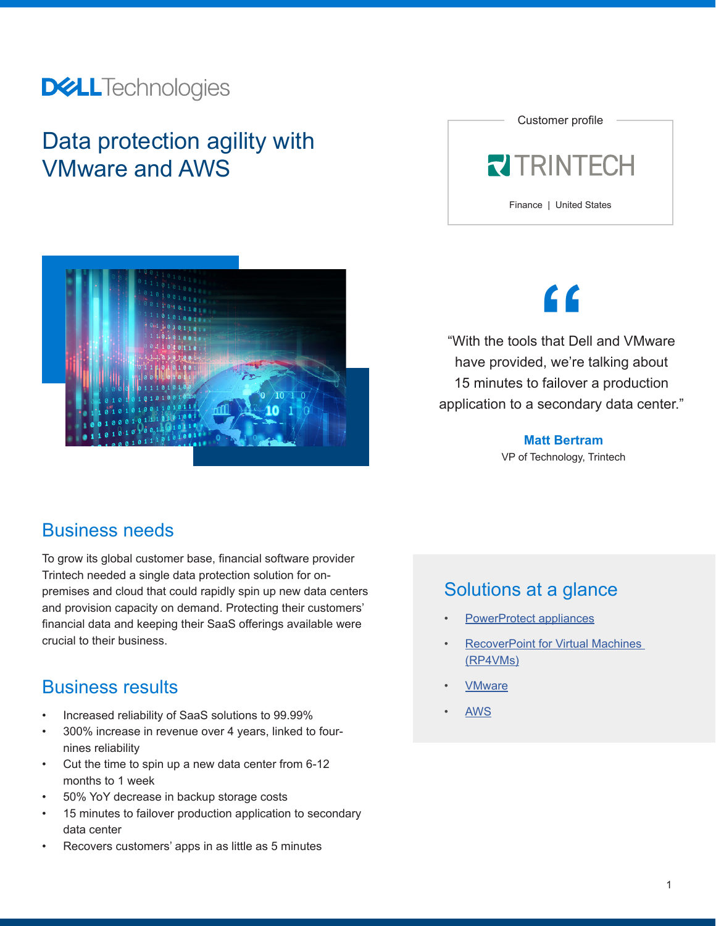### **DELL**Technologies

### Data protection agility with VMware and AWS





**"**

"With the tools that Dell and VMware have provided, we're talking about 15 minutes to failover a production application to a secondary data center."

> **Matt Bertram** VP of Technology, Trintech

#### Business needs

To grow its global customer base, financial software provider Trintech needed a single data protection solution for onpremises and cloud that could rapidly spin up new data centers and provision capacity on demand. Protecting their customers' financial data and keeping their SaaS offerings available were crucial to their business.

#### Business results

- Increased reliability of SaaS solutions to 99.99%
- 300% increase in revenue over 4 years, linked to fournines reliability
- Cut the time to spin up a new data center from 6-12 months to 1 week
- 50% YoY decrease in backup storage costs
- 15 minutes to failover production application to secondary data center
- Recovers customers' apps in as little as 5 minutes

#### Solutions at a glance

- **[PowerProtect appliances](https://www.delltechnologies.com/en-us/data-protection/powerprotect-backup-appliances.htm)**
- [RecoverPoint for Virtual Machines](https://www.delltechnologies.com/en-us/data-protection/data-protection-suite/recoverpoint-for-virtual-machines-data-protection-software.htm)  [\(RP4VMs\)](https://www.delltechnologies.com/en-us/data-protection/data-protection-suite/recoverpoint-for-virtual-machines-data-protection-software.htm)
- **[VMware](https://www.delltechnologies.com/en-us/solutions/vmware/index.htm)**
-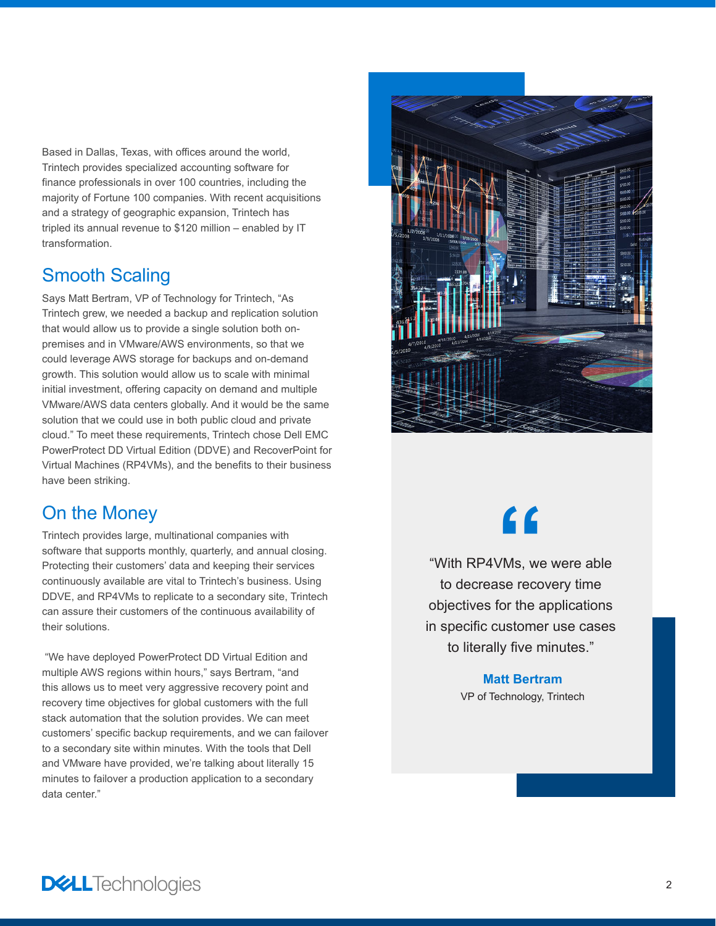Based in Dallas, Texas, with offices around the world, Trintech provides specialized accounting software for finance professionals in over 100 countries, including the majority of Fortune 100 companies. With recent acquisitions and a strategy of geographic expansion, Trintech has tripled its annual revenue to \$120 million – enabled by IT transformation.

#### Smooth Scaling

Says Matt Bertram, VP of Technology for Trintech, "As Trintech grew, we needed a backup and replication solution that would allow us to provide a single solution both onpremises and in VMware/AWS environments, so that we could leverage AWS storage for backups and on-demand growth. This solution would allow us to scale with minimal initial investment, offering capacity on demand and multiple VMware/AWS data centers globally. And it would be the same solution that we could use in both public cloud and private cloud." To meet these requirements, Trintech chose Dell EMC PowerProtect DD Virtual Edition (DDVE) and RecoverPoint for Virtual Machines (RP4VMs), and the benefits to their business have been striking.

#### On the Money

Trintech provides large, multinational companies with software that supports monthly, quarterly, and annual closing. Protecting their customers' data and keeping their services continuously available are vital to Trintech's business. Using DDVE, and RP4VMs to replicate to a secondary site, Trintech can assure their customers of the continuous availability of their solutions.

 "We have deployed PowerProtect DD Virtual Edition and multiple AWS regions within hours," says Bertram, "and this allows us to meet very aggressive recovery point and recovery time objectives for global customers with the full stack automation that the solution provides. We can meet customers' specific backup requirements, and we can failover to a secondary site within minutes. With the tools that Dell and VMware have provided, we're talking about literally 15 minutes to failover a production application to a secondary data center."



# **"**

"With RP4VMs, we were able to decrease recovery time objectives for the applications in specific customer use cases to literally five minutes."

#### **Matt Bertram**

VP of Technology, Trintech

**DELL**Technologies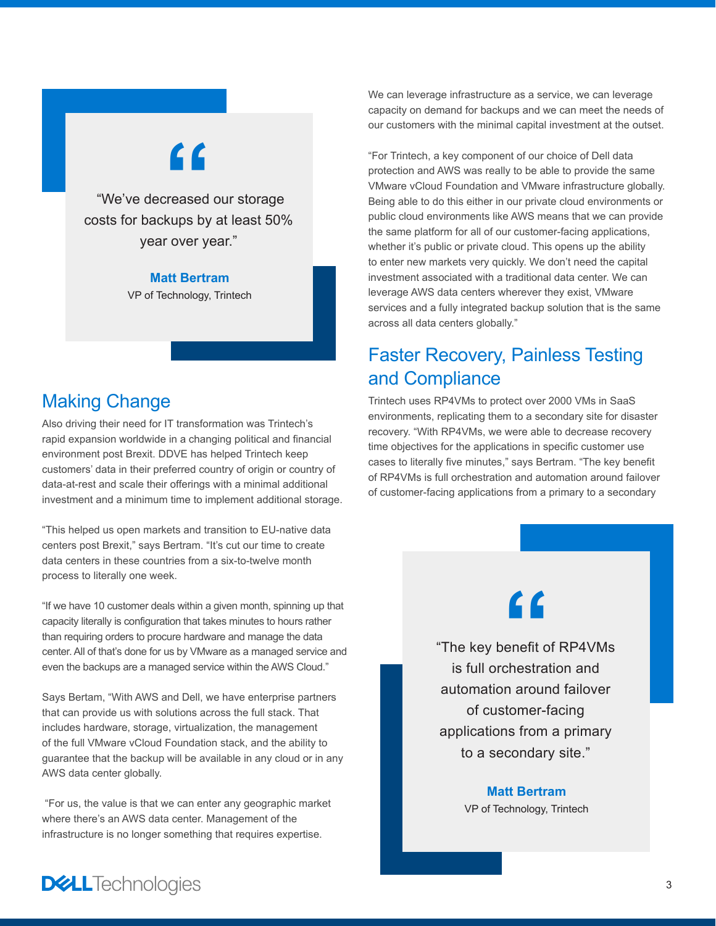# **"**

 "We've decreased our storage costs for backups by at least 50% year over year."

#### **Matt Bertram**

VP of Technology, Trintech

### Making Change

Also driving their need for IT transformation was Trintech's rapid expansion worldwide in a changing political and financial environment post Brexit. DDVE has helped Trintech keep customers' data in their preferred country of origin or country of data-at-rest and scale their offerings with a minimal additional investment and a minimum time to implement additional storage.

"This helped us open markets and transition to EU-native data centers post Brexit," says Bertram. "It's cut our time to create data centers in these countries from a six-to-twelve month process to literally one week.

"If we have 10 customer deals within a given month, spinning up that capacity literally is configuration that takes minutes to hours rather than requiring orders to procure hardware and manage the data center. All of that's done for us by VMware as a managed service and even the backups are a managed service within the AWS Cloud."

Says Bertam, "With AWS and Dell, we have enterprise partners that can provide us with solutions across the full stack. That includes hardware, storage, virtualization, the management of the full VMware vCloud Foundation stack, and the ability to guarantee that the backup will be available in any cloud or in any AWS data center globally.

 "For us, the value is that we can enter any geographic market where there's an AWS data center. Management of the infrastructure is no longer something that requires expertise.

We can leverage infrastructure as a service, we can leverage capacity on demand for backups and we can meet the needs of our customers with the minimal capital investment at the outset.

"For Trintech, a key component of our choice of Dell data protection and AWS was really to be able to provide the same VMware vCloud Foundation and VMware infrastructure globally. Being able to do this either in our private cloud environments or public cloud environments like AWS means that we can provide the same platform for all of our customer-facing applications, whether it's public or private cloud. This opens up the ability to enter new markets very quickly. We don't need the capital investment associated with a traditional data center. We can leverage AWS data centers wherever they exist, VMware services and a fully integrated backup solution that is the same across all data centers globally."

#### Faster Recovery, Painless Testing and Compliance

Trintech uses RP4VMs to protect over 2000 VMs in SaaS environments, replicating them to a secondary site for disaster recovery. "With RP4VMs, we were able to decrease recovery time objectives for the applications in specific customer use cases to literally five minutes," says Bertram. "The key benefit of RP4VMs is full orchestration and automation around failover of customer-facing applications from a primary to a secondary

# **"**

"The key benefit of RP4VMs is full orchestration and automation around failover of customer-facing applications from a primary to a secondary site."

> **Matt Bertram** VP of Technology, Trintech

### **DELL**Technologies